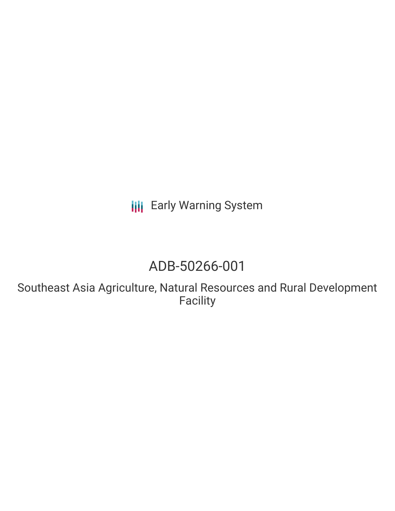**III** Early Warning System

# ADB-50266-001

Southeast Asia Agriculture, Natural Resources and Rural Development Facility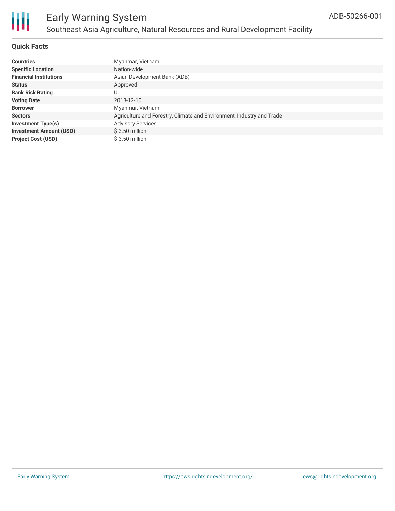

# **Quick Facts**

| <b>Countries</b>               | Myanmar, Vietnam                                                      |
|--------------------------------|-----------------------------------------------------------------------|
| <b>Specific Location</b>       | Nation-wide                                                           |
| <b>Financial Institutions</b>  | Asian Development Bank (ADB)                                          |
| <b>Status</b>                  | Approved                                                              |
| <b>Bank Risk Rating</b>        | U                                                                     |
| <b>Voting Date</b>             | 2018-12-10                                                            |
| <b>Borrower</b>                | Myanmar, Vietnam                                                      |
| <b>Sectors</b>                 | Agriculture and Forestry, Climate and Environment, Industry and Trade |
| <b>Investment Type(s)</b>      | <b>Advisory Services</b>                                              |
| <b>Investment Amount (USD)</b> | $$3.50$ million                                                       |
| <b>Project Cost (USD)</b>      | $$3.50$ million                                                       |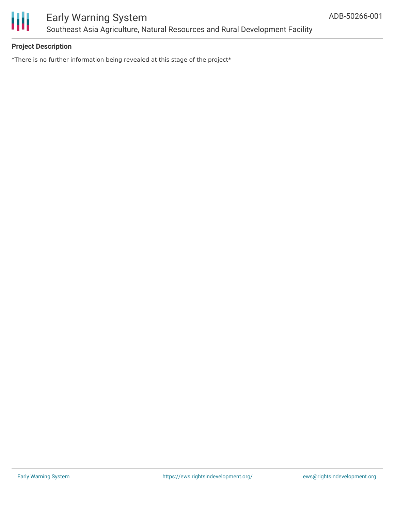

# **Project Description**

\*There is no further information being revealed at this stage of the project\*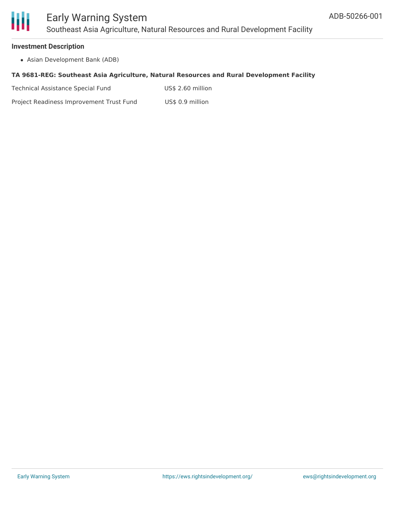

#### **Investment Description**

Asian Development Bank (ADB)

#### **TA 9681-REG: Southeast Asia Agriculture, Natural Resources and Rural Development Facility**

Technical Assistance Special Fund US\$ 2.60 million

Project Readiness Improvement Trust Fund US\$ 0.9 million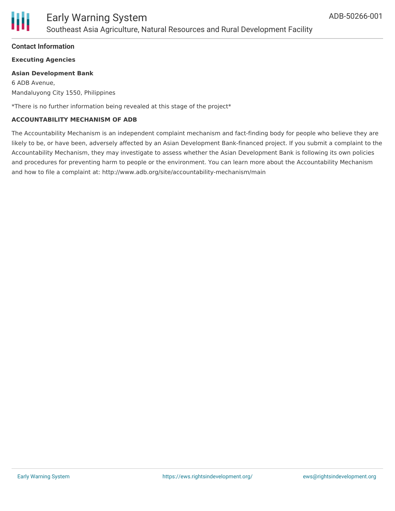

## **Contact Information**

## **Executing Agencies**

#### **Asian Development Bank**

6 ADB Avenue, Mandaluyong City 1550, Philippines

\*There is no further information being revealed at this stage of the project\*

#### **ACCOUNTABILITY MECHANISM OF ADB**

The Accountability Mechanism is an independent complaint mechanism and fact-finding body for people who believe they are likely to be, or have been, adversely affected by an Asian Development Bank-financed project. If you submit a complaint to the Accountability Mechanism, they may investigate to assess whether the Asian Development Bank is following its own policies and procedures for preventing harm to people or the environment. You can learn more about the Accountability Mechanism and how to file a complaint at: http://www.adb.org/site/accountability-mechanism/main